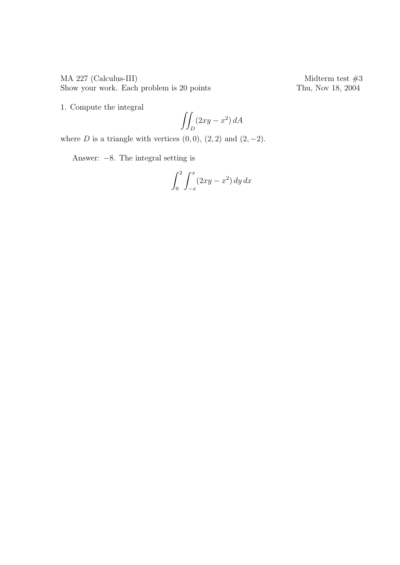$\begin{tabular}{ll} MA 227 (Calculus-III) & Midterm test #3 \\ Show your work. Each problem is 20 points & Thu, Nov 18, 2004 \\ \end{tabular}$ Show your work. Each problem is 20 points

1. Compute the integral

$$
\iint_D (2xy - x^2) \, dA
$$

where  $D$  is a triangle with vertices  $(0, 0)$ ,  $(2, 2)$  and  $(2, -2)$ .

Answer: −8. The integral setting is

$$
\int_0^2 \int_{-x}^x (2xy - x^2) \, dy \, dx
$$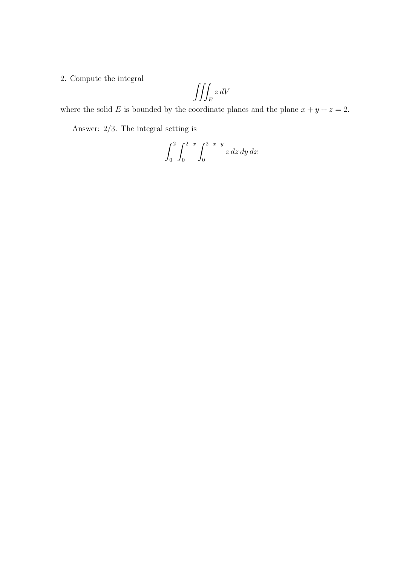## 2. Compute the integral

$$
\iiint_E z\,dV
$$

where the solid E is bounded by the coordinate planes and the plane  $x + y + z = 2$ .

Answer: 2/3. The integral setting is

$$
\int_0^2 \int_0^{2-x} \int_0^{2-x-y} z \, dz \, dy \, dx
$$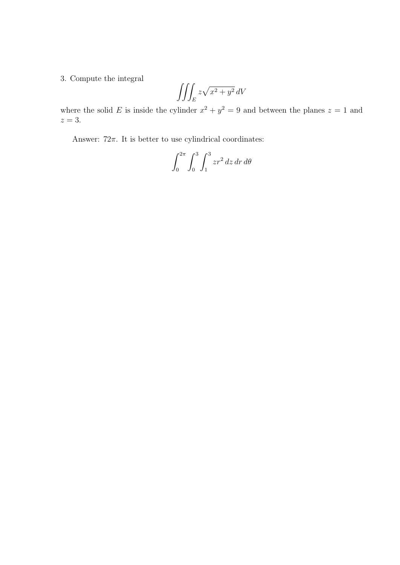## 3. Compute the integral

$$
\iiint_E z\sqrt{x^2 + y^2} \, dV
$$

where the solid E is inside the cylinder  $x^2 + y^2 = 9$  and between the planes  $z = 1$  and  $z=3$ .

Answer:  $72\pi$ . It is better to use cylindrical coordinates:

$$
\int_0^{2\pi} \int_0^3 \int_1^3 zr^2 dz dr d\theta
$$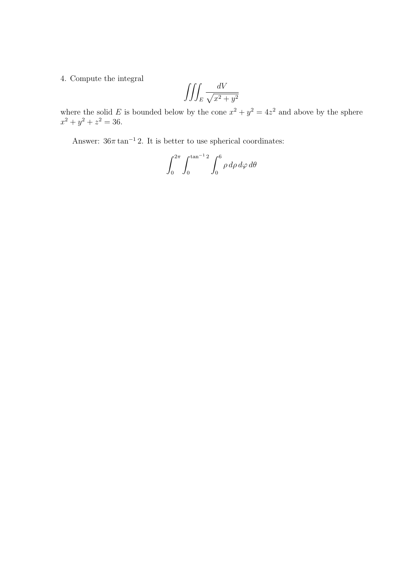## 4. Compute the integral

$$
\iiint_E \frac{dV}{\sqrt{x^2 + y^2}}
$$

where the solid E is bounded below by the cone  $x^2 + y^2 = 4z^2$  and above by the sphere  $x^2 + y^2 + z^2 = 36.$ 

Answer:  $36\pi \tan^{-1} 2$ . It is better to use spherical coordinates:

$$
\int_0^{2\pi} \int_0^{\tan^{-1}2} \int_0^6 \rho \, d\rho \, d\varphi \, d\theta
$$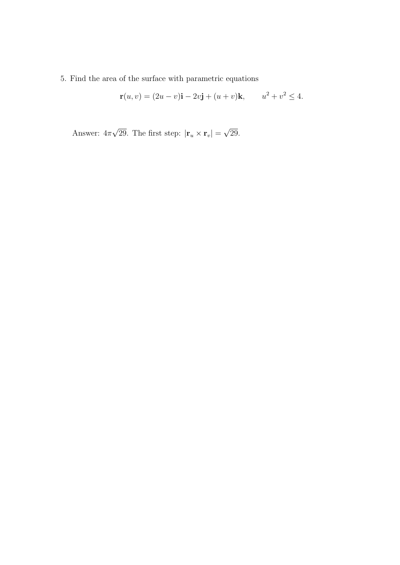5. Find the area of the surface with parametric equations

$$
\mathbf{r}(u, v) = (2u - v)\mathbf{i} - 2v\mathbf{j} + (u + v)\mathbf{k}, \qquad u^2 + v^2 \le 4.
$$

Answer:  $4\pi$ √ 29. The first step:  $|\mathbf{r}_u \times \mathbf{r}_v|$  = √ 29.